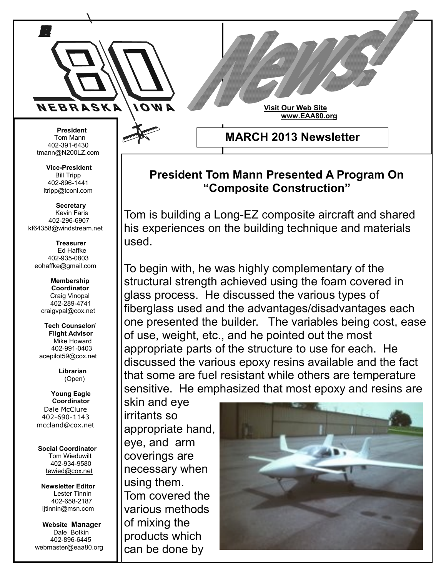

 **President** Tom Mann 402-391-6430 tmann@N200LZ.com

**Vice-President** Bill Tripp 402-896-1441 ltripp@tconl.com

 **Secretary** Kevin Faris 402-296-6907 kf64358@windstream.net

 **Treasurer** Ed Haffke 402-935-0803 eohaffke@gmail.com

> **Membership Coordinator** Craig Vinopal 402-289-4741 craigvpal@cox.net

 **Tech Counselor/ Flight Advisor** Mike Howard 402-991-0403 acepilot59@cox.net

> **Librarian** (Open)

 **Young Eagle Coordinator** Dale McClure 402-690-1143 mccland@cox.net

 **Social Coordinator** Tom Wieduwilt 402-934-9580 [tewied@cox.net](javascript:parent.wgMail.openComposeWindow()

**Newsletter Editor** Lester Tinnin 402-658-2187 ljtinnin@msn.com

 **Website Manager** Dale Botkin 402-896-6445 webmaster@eaa80.org

## **President Tom Mann Presented A Program On "Composite Construction"**

**MARCH 2013 Newsletter**

**Visit Our Web Site**

 **www.EAA80.org**

Tom is building a Long-EZ composite aircraft and shared his experiences on the building technique and materials used.

To begin with, he was highly complementary of the structural strength achieved using the foam covered in glass process. He discussed the various types of fiberglass used and the advantages/disadvantages each one presented the builder. The variables being cost, ease of use, weight, etc., and he pointed out the most appropriate parts of the structure to use for each. He discussed the various epoxy resins available and the fact that some are fuel resistant while others are temperature sensitive. He emphasized that most epoxy and resins are

skin and eye irritants so appropriate hand, eye, and arm coverings are necessary when using them. Tom covered the various methods of mixing the products which can be done by

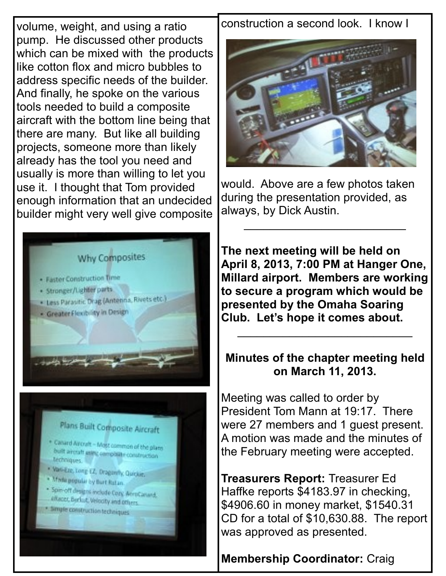volume, weight, and using a ratio pump. He discussed other products which can be mixed with the products like cotton flox and micro bubbles to address specific needs of the builder. And finally, he spoke on the various tools needed to build a composite aircraft with the bottom line being that there are many. But like all building projects, someone more than likely already has the tool you need and usually is more than willing to let you use it. I thought that Tom provided enough information that an undecided builder might very well give composite



construction a second look. I know I



would. Above are a few photos taken during the presentation provided, as always, by Dick Austin.

\_\_\_\_\_\_\_\_\_\_\_\_\_\_\_\_\_\_\_\_\_\_\_\_\_

**The next meeting will be held on April 8, 2013, 7:00 PM at Hanger One, Millard airport. Members are working to secure a program which would be presented by the Omaha Soaring Club. Let's hope it comes about.** \_\_\_\_\_\_\_\_\_\_\_\_\_\_\_\_\_\_\_\_\_\_\_\_\_\_\_

## **Minutes of the chapter meeting held on March 11, 2013.**

Meeting was called to order by President Tom Mann at 19:17. There were 27 members and 1 guest present. A motion was made and the minutes of the February meeting were accepted.

**Treasurers Report:** Treasurer Ed Haffke reports \$4183.97 in checking, \$4906.60 in money market, \$1540.31 CD for a total of \$10,630.88. The report was approved as presented.

**Membership Coordinator:** Craig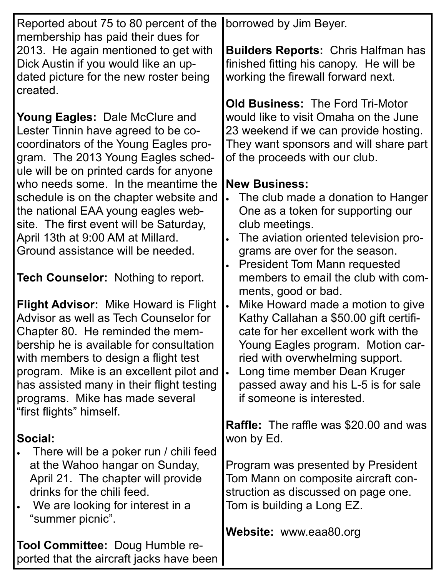| Reported about 75 to 80 percent of the       | borrowed by Jim Beyer.                             |
|----------------------------------------------|----------------------------------------------------|
| membership has paid their dues for           |                                                    |
| 2013. He again mentioned to get with         | <b>Builders Reports: Chris Halfman has</b>         |
| Dick Austin if you would like an up-         | finished fitting his canopy. He will be            |
| dated picture for the new roster being       | working the firewall forward next.                 |
| created.                                     |                                                    |
|                                              | <b>Old Business: The Ford Tri-Motor</b>            |
| <b>Young Eagles: Dale McClure and</b>        | would like to visit Omaha on the June              |
| Lester Tinnin have agreed to be co-          | 23 weekend if we can provide hosting.              |
| coordinators of the Young Eagles pro-        | They want sponsors and will share part             |
| gram. The 2013 Young Eagles sched-           | of the proceeds with our club.                     |
| ule will be on printed cards for anyone      |                                                    |
| who needs some. In the meantime the          | <b>New Business:</b>                               |
| schedule is on the chapter website and       | The club made a donation to Hanger                 |
| the national EAA young eagles web-           | One as a token for supporting our                  |
| site. The first event will be Saturday,      | club meetings.                                     |
| April 13th at 9:00 AM at Millard.            | The aviation oriented television pro-<br>$\bullet$ |
| Ground assistance will be needed.            | grams are over for the season.                     |
|                                              | <b>President Tom Mann requested</b>                |
| <b>Tech Counselor: Nothing to report.</b>    | members to email the club with com-                |
|                                              | ments, good or bad.                                |
| <b>Flight Advisor:</b> Mike Howard is Flight | Mike Howard made a motion to give<br>$\bullet$     |
| Advisor as well as Tech Counselor for        | Kathy Callahan a \$50.00 gift certifi-             |
| Chapter 80. He reminded the mem-             | cate for her excellent work with the               |
| bership he is available for consultation     | Young Eagles program. Motion car-                  |
| with members to design a flight test         | ried with overwhelming support.                    |
| program. Mike is an excellent pilot and      | Long time member Dean Kruger<br>$\bullet$          |
| has assisted many in their flight testing    | passed away and his L-5 is for sale                |
| programs. Mike has made several              | if someone is interested.                          |
| "first flights" himself.                     |                                                    |
|                                              | <b>Raffle:</b> The raffle was \$20.00 and was      |
| Social:                                      | won by Ed.                                         |
| There will be a poker run / chili feed       |                                                    |
| at the Wahoo hangar on Sunday,               | Program was presented by President                 |
| April 21. The chapter will provide           | Tom Mann on composite aircraft con-                |
| drinks for the chili feed.                   | struction as discussed on page one.                |
| We are looking for interest in a             | Tom is building a Long EZ.                         |
| "summer picnic".                             |                                                    |
|                                              | <b>Website:</b> www.eaa80.org                      |
| <b>Tool Committee: Doug Humble re-</b>       |                                                    |
| ported that the aircraft jacks have been     |                                                    |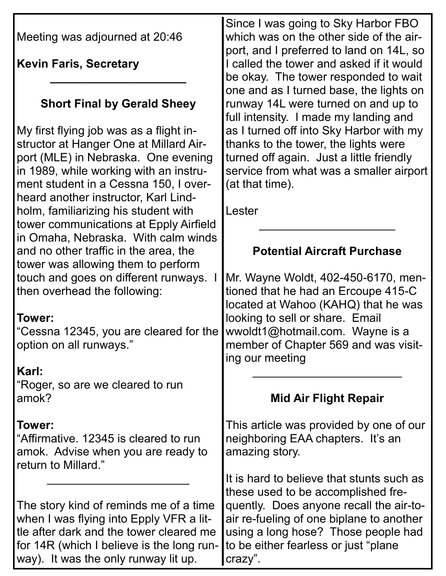| Meeting was adjourned at 20:46                                                                                                                                                                                                                      | Since I was going to Sky Harbor FBO<br>which was on the other side of the air-<br>port, and I preferred to land on 14L, so                                                                |
|-----------------------------------------------------------------------------------------------------------------------------------------------------------------------------------------------------------------------------------------------------|-------------------------------------------------------------------------------------------------------------------------------------------------------------------------------------------|
| <b>Kevin Faris, Secretary</b>                                                                                                                                                                                                                       | I called the tower and asked if it would<br>be okay. The tower responded to wait                                                                                                          |
| <b>Short Final by Gerald Sheey</b>                                                                                                                                                                                                                  | one and as I turned base, the lights on<br>runway 14L were turned on and up to<br>full intensity. I made my landing and                                                                   |
| My first flying job was as a flight in-<br>structor at Hanger One at Millard Air-<br>port (MLE) in Nebraska. One evening<br>in 1989, while working with an instru-<br>ment student in a Cessna 150, I over-<br>heard another instructor, Karl Lind- | as I turned off into Sky Harbor with my<br>thanks to the tower, the lights were<br>turned off again. Just a little friendly<br>service from what was a smaller airport<br>(at that time). |
| holm, familiarizing his student with<br>tower communications at Epply Airfield<br>in Omaha, Nebraska. With calm winds                                                                                                                               | Lester                                                                                                                                                                                    |
| and no other traffic in the area, the                                                                                                                                                                                                               | <b>Potential Aircraft Purchase</b>                                                                                                                                                        |
| tower was allowing them to perform<br>touch and goes on different runways.<br>then overhead the following:                                                                                                                                          | Mr. Wayne Woldt, 402-450-6170, men-<br>tioned that he had an Ercoupe 415-C<br>located at Wahoo (KAHQ) that he was                                                                         |
| Tower:<br>"Cessna 12345, you are cleared for the<br>option on all runways."                                                                                                                                                                         | looking to sell or share. Email<br>wwoldt1@hotmail.com. Wayne is a<br>member of Chapter 569 and was visit-<br>ing our meeting                                                             |
| Karl:<br>"Roger, so are we cleared to run<br>amok?                                                                                                                                                                                                  | <b>Mid Air Flight Repair</b>                                                                                                                                                              |
| Tower:<br>"Affirmative. 12345 is cleared to run<br>amok. Advise when you are ready to<br>return to Millard."                                                                                                                                        | This article was provided by one of our<br>neighboring EAA chapters. It's an<br>amazing story.                                                                                            |
|                                                                                                                                                                                                                                                     | It is hard to believe that stunts such as<br>these used to be accomplished fre-                                                                                                           |
| The story kind of reminds me of a time<br>when I was flying into Epply VFR a lit-<br>tle after dark and the tower cleared me<br>for 14R (which I believe is the long run-<br>way). It was the only runway lit up.                                   | quently. Does anyone recall the air-to-<br>air re-fueling of one biplane to another<br>using a long hose? Those people had<br>to be either fearless or just "plane"<br>crazy".            |

Г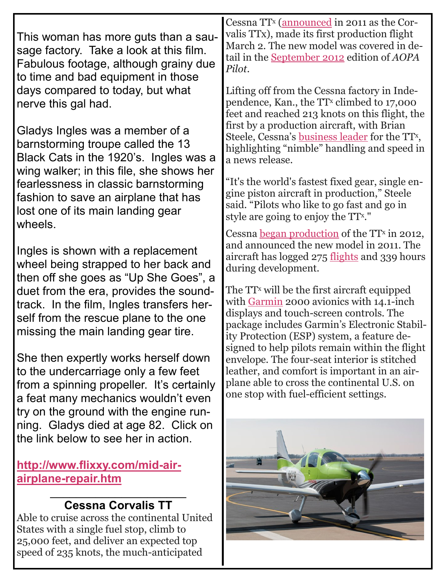| This woman has more guts than a sau-<br>sage factory. Take a look at this film.<br>Fabulous footage, although grainy due<br>to time and bad equipment in those<br>days compared to today, but what<br>nerve this gal had.                  | Cessna TT <sup>x</sup> (announced in 2011 as the Cor-<br>valis TTx), made its first production flight<br>March 2. The new model was covered in de-<br>tail in the September 2012 edition of AOPA<br>Pilot.<br>Lifting off from the Cessna factory in Inde-<br>pendence, Kan., the TT <sup>x</sup> climbed to 17,000<br>feet and reached 213 knots on this flight, the |
|--------------------------------------------------------------------------------------------------------------------------------------------------------------------------------------------------------------------------------------------|-----------------------------------------------------------------------------------------------------------------------------------------------------------------------------------------------------------------------------------------------------------------------------------------------------------------------------------------------------------------------|
| Gladys Ingles was a member of a<br>barnstorming troupe called the 13<br>Black Cats in the 1920's. Ingles was a<br>wing walker; in this file, she shows her<br>fearlessness in classic barnstorming<br>fashion to save an airplane that has | first by a production aircraft, with Brian<br>Steele, Cessna's <u>business leader</u> for the TT <sup>x</sup> ,<br>highlighting "nimble" handling and speed in<br>a news release.<br>"It's the world's fastest fixed gear, single en-<br>gine piston aircraft in production," Steele                                                                                  |
| lost one of its main landing gear<br>wheels.                                                                                                                                                                                               | said. "Pilots who like to go fast and go in<br>style are going to enjoy the TT <sup>x."</sup><br>Cessna <u>began production</u> of the TT <sup>x</sup> in 2012,                                                                                                                                                                                                       |
| Ingles is shown with a replacement<br>wheel being strapped to her back and<br>then off she goes as "Up She Goes", a                                                                                                                        | and announced the new model in 2011. The<br>aircraft has logged 275 flights and 339 hours<br>during development.                                                                                                                                                                                                                                                      |
| duet from the era, provides the sound-<br>track. In the film, Ingles transfers her-<br>self from the rescue plane to the one<br>missing the main landing gear tire.                                                                        | The TT <sup>x</sup> will be the first aircraft equipped<br>with Garmin 2000 avionics with 14.1-inch<br>displays and touch-screen controls. The<br>package includes Garmin's Electronic Stabil-<br>ity Protection (ESP) system, a feature de-<br>signed to help pilots remain within the flight                                                                        |
| She then expertly works herself down<br>to the undercarriage only a few feet<br>from a spinning propeller. It's certainly<br>a feat many mechanics wouldn't even<br>try on the ground with the engine run-                                 | envelope. The four-seat interior is stitched<br>leather, and comfort is important in an air-<br>plane able to cross the continental U.S. on<br>one stop with fuel-efficient settings.                                                                                                                                                                                 |
| ning. Gladys died at age 82. Click on<br>the link below to see her in action.                                                                                                                                                              |                                                                                                                                                                                                                                                                                                                                                                       |
| http://www.flixxy.com/mid-air-<br>airplane-repair.htm                                                                                                                                                                                      |                                                                                                                                                                                                                                                                                                                                                                       |
| <b>Cessna Corvalis TT</b><br>Able to cruise across the continental United                                                                                                                                                                  |                                                                                                                                                                                                                                                                                                                                                                       |

Able to cruise across the continental United States with a single fuel stop, climb to 25,000 feet, and deliver an expected top speed of 235 knots, the much-anticipated